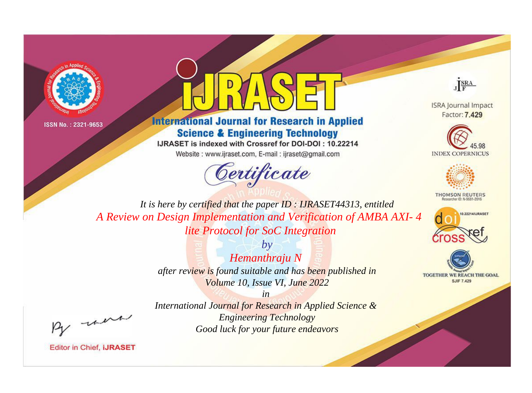



**International Journal for Research in Applied Science & Engineering Technology** 

IJRASET is indexed with Crossref for DOI-DOI: 10.22214

Website: www.ijraset.com, E-mail: ijraset@gmail.com





**ISRA Journal Impact** Factor: 7.429





**THOMSON REUTERS** 



TOGETHER WE REACH THE GOAL **SJIF 7.429** 

*It is here by certified that the paper ID : IJRASET44313, entitled A Review on Design Implementation and Verification of AMBA AXI- 4 lite Protocol for SoC Integration*

> *by Hemanthraju N after review is found suitable and has been published in Volume 10, Issue VI, June 2022*

, un

**Editor in Chief, IJRASET** 

*International Journal for Research in Applied Science & Engineering Technology Good luck for your future endeavors*

*in*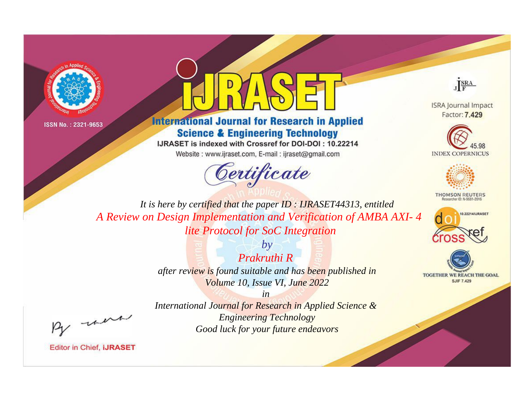



## **International Journal for Research in Applied Science & Engineering Technology**

IJRASET is indexed with Crossref for DOI-DOI: 10.22214

Website: www.ijraset.com, E-mail: ijraset@gmail.com



JERA

**ISRA Journal Impact** Factor: 7.429





**THOMSON REUTERS** 



TOGETHER WE REACH THE GOAL **SJIF 7.429** 

It is here by certified that the paper ID: IJRASET44313, entitled A Review on Design Implementation and Verification of AMBA AXI-4 lite Protocol for SoC Integration

> Prakruthi R after review is found suitable and has been published in Volume 10, Issue VI, June 2022

 $b\nu$ 

were

International Journal for Research in Applied Science & **Engineering Technology** Good luck for your future endeavors

 $in$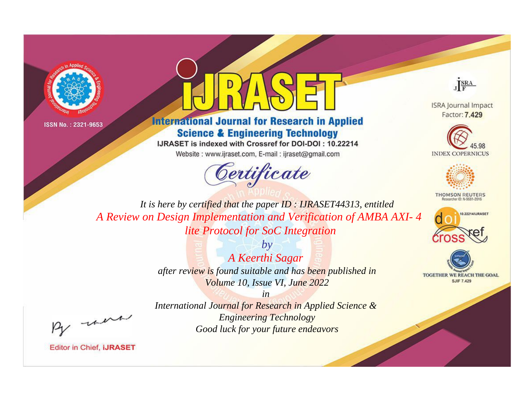



**International Journal for Research in Applied Science & Engineering Technology** 

IJRASET is indexed with Crossref for DOI-DOI: 10.22214

Website: www.ijraset.com, E-mail: ijraset@gmail.com



JERA

**ISRA Journal Impact** Factor: 7.429





**THOMSON REUTERS** 



TOGETHER WE REACH THE GOAL **SJIF 7.429** 

It is here by certified that the paper ID: IJRASET44313, entitled A Review on Design Implementation and Verification of AMBA AXI-4 lite Protocol for SoC Integration

> $b\nu$ A Keerthi Sagar after review is found suitable and has been published in Volume 10, Issue VI, June 2022

were

International Journal for Research in Applied Science & **Engineering Technology** Good luck for your future endeavors

 $in$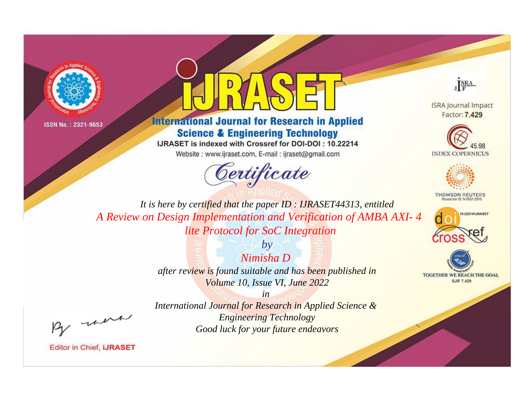



**International Journal for Research in Applied Science & Engineering Technology** 

IJRASET is indexed with Crossref for DOI-DOI: 10.22214

Website: www.ijraset.com, E-mail: ijraset@gmail.com



JERA

**ISRA Journal Impact** Factor: 7.429





**THOMSON REUTERS** 



TOGETHER WE REACH THE GOAL **SJIF 7.429** 

It is here by certified that the paper ID: IJRASET44313, entitled A Review on Design Implementation and Verification of AMBA AXI-4 lite Protocol for SoC Integration

> Nimisha D after review is found suitable and has been published in Volume 10, Issue VI, June 2022

 $b\nu$ 

were

International Journal for Research in Applied Science & **Engineering Technology** Good luck for your future endeavors

 $in$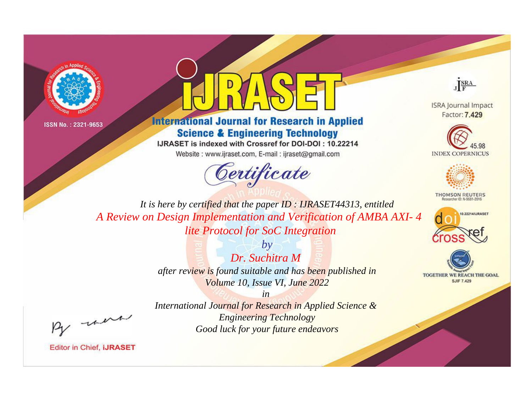



**International Journal for Research in Applied Science & Engineering Technology** 

IJRASET is indexed with Crossref for DOI-DOI: 10.22214

Website: www.ijraset.com, E-mail: ijraset@gmail.com



JERA

**ISRA Journal Impact** Factor: 7.429





**THOMSON REUTERS** 



TOGETHER WE REACH THE GOAL **SJIF 7.429** 

It is here by certified that the paper ID: IJRASET44313, entitled A Review on Design Implementation and Verification of AMBA AXI-4 lite Protocol for SoC Integration

> $b\nu$ Dr. Suchitra M after review is found suitable and has been published in Volume 10, Issue VI, June 2022

were

International Journal for Research in Applied Science & **Engineering Technology** Good luck for your future endeavors

 $in$